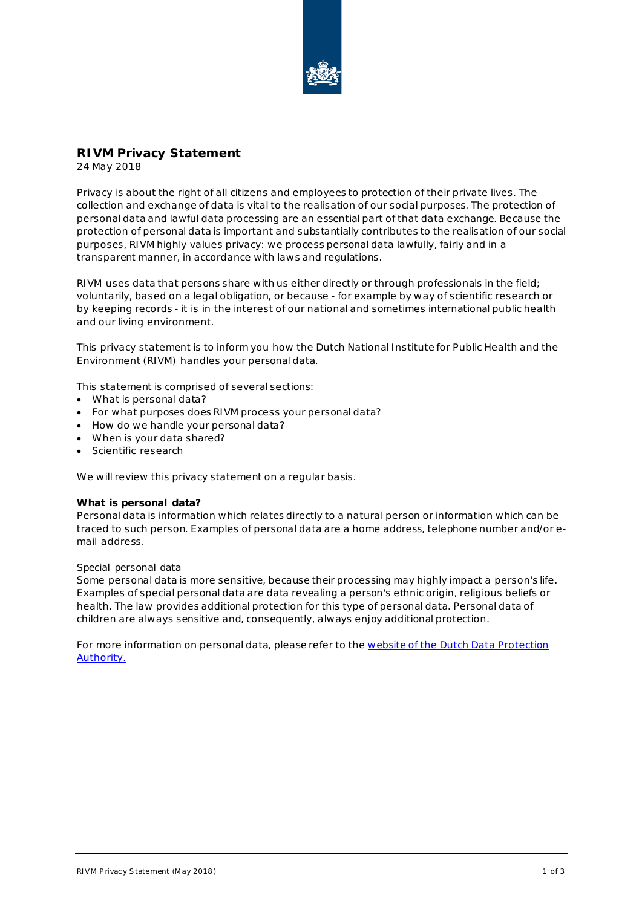

# **RIVM Privacy Statement**

24 May 2018

Privacy is about the right of all citizens and employees to protection of their private lives. The collection and exchange of data is vital to the realisation of our social purposes. The protection of personal data and lawful data processing are an essential part of that data exchange. Because the protection of personal data is important and substantially contributes to the realisation of our social purposes, RIVM highly values privacy: we process personal data lawfully, fairly and in a transparent manner, in accordance with laws and regulations.

RIVM uses data that persons share with us either directly or through professionals in the field; voluntarily, based on a legal obligation, or because - for example by way of scientific research or by keeping records - it is in the interest of our national and sometimes international public health and our living environment.

This privacy statement is to inform you how the Dutch National Institute for Public Health and the Environment (RIVM) handles your personal data.

This statement is comprised of several sections:

- What is personal data?
- For what purposes does RIVM process your personal data?
- How do we handle your personal data?
- When is your data shared?
- Scientific research

We will review this privacy statement on a regular basis.

# **What is personal data?**

Personal data is information which relates directly to a natural person or information which can be traced to such person. Examples of personal data are a home address, telephone number and/or email address.

# *Special personal data*

Some personal data is more sensitive, because their processing may highly impact a person's life. Examples of special personal data are data revealing a person's ethnic origin, religious beliefs or health. The law provides additional protection for this type of personal data. Personal data of children are always sensitive and, consequently, always enjoy additional protection.

For more information on personal data, please refer to the website of the Dutch Data Protection [Authority.](https://autoriteitpersoonsgegevens.nl/nl/over-privacy/persoonsgegevens/wat-zijn-persoonsgegevens)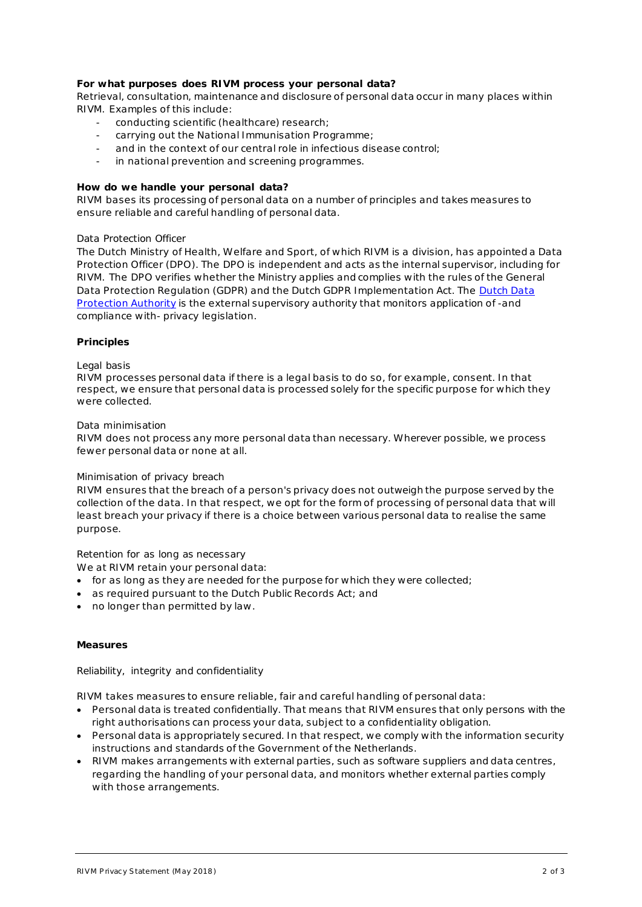# **For what purposes does RIVM process your personal data?**

Retrieval, consultation, maintenance and disclosure of personal data occur in many places within RIVM. Examples of this include:

- conducting scientific (healthcare) research;
- carrying out the National Immunisation Programme;
- and in the context of our central role in infectious disease control;
- in national prevention and screening programmes.

# **How do we handle your personal data?**

RIVM bases its processing of personal data on a number of principles and takes measures to ensure reliable and careful handling of personal data.

#### *Data Protection Officer*

The Dutch Ministry of Health, Welfare and Sport, of which RIVM is a division, has appointed a Data Protection Officer (DPO). The DPO is independent and acts as the internal supervisor, including for RIVM. The DPO verifies whether the Ministry applies and complies with the rules of the General Data Protection Regulation (GDPR) and the Dutch GDPR Implementation Act. The [Dutch Data](https://autoriteitpersoonsgegevens.nl/nl)  [Protection Authority](https://autoriteitpersoonsgegevens.nl/nl) is the external supervisory authority that monitors application of -and compliance with- privacy legislation.

# **Principles**

#### *Legal basis*

RIVM processes personal data if there is a legal basis to do so, for example, consent. In that respect, we ensure that personal data is processed solely for the specific purpose for which they were collected.

#### *Data minimisation*

RIVM does not process any more personal data than necessary. Wherever possible, we process fewer personal data or none at all.

#### *Minimisation of privacy breach*

RIVM ensures that the breach of a person's privacy does not outweigh the purpose served by the collection of the data. In that respect, we opt for the form of processing of personal data that will least breach your privacy if there is a choice between various personal data to realise the same purpose.

# *Retention for as long as necessary*

We at RIVM retain your personal data:

- for as long as they are needed for the purpose for which they were collected;
- as required pursuant to the Dutch Public Records Act; and
- no longer than permitted by law .

#### **Measures**

# *Reliability, integrity and confidentiality*

RIVM takes measures to ensure reliable, fair and careful handling of personal data:

- Personal data is treated confidentially. That means that RIVM ensures that only persons with the right authorisations can process your data, subject to a confidentiality obligation.
- Personal data is appropriately secured. In that respect, we comply with the information security instructions and standards of the Government of the Netherlands.
- RIVM makes arrangements with external parties, such as software suppliers and data centres, regarding the handling of your personal data, and monitors whether external parties comply with those arrangements.